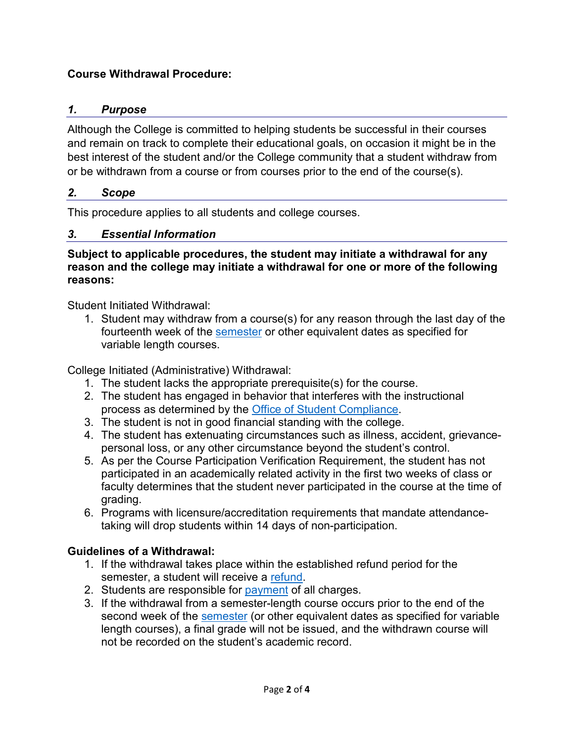### **Course Withdrawal Procedure:**

#### *1. Purpose*

Although the College is committed to helping students be successful in their courses and remain on track to complete their educational goals, on occasion it might be in the best interest of the student and/or the College community that a student withdraw from or be withdrawn from a course or from courses prior to the end of the course(s).

#### *2. Scope*

This procedure applies to all students and college courses.

#### *3. Essential Information*

**Subject to applicable procedures, the student may initiate a withdrawal for any reason and the college may initiate a withdrawal for one or more of the following reasons:**

Student Initiated Withdrawal:

1. Student may withdraw from a course(s) for any reason through the last day of the fourteenth week of the [semester](https://www.lcc.edu/admissions-financial-aid/registrar/registration/) or other equivalent dates as specified for variable length courses.

College Initiated (Administrative) Withdrawal:

- 1. The student lacks the appropriate prerequisite(s) for the course.
- 2. The student has engaged in behavior that interferes with the instructional process as determined by the [Office of Student Compliance.](https://www.lcc.edu/consumer-information/student-compliance/)
- 3. The student is not in good financial standing with the college.
- 4. The student has extenuating circumstances such as illness, accident, grievancepersonal loss, or any other circumstance beyond the student's control.
- 5. As per the Course Participation Verification Requirement, the student has not participated in an academically related activity in the first two weeks of class or faculty determines that the student never participated in the course at the time of grading.
- 6. Programs with licensure/accreditation requirements that mandate attendancetaking will drop students within 14 days of non-participation.

## **Guidelines of a Withdrawal:**

- 1. If the withdrawal takes place within the established refund period for the semester, a student will receive a [refund.](https://www.lcc.edu/admissions-financial-aid/registrar/registration/)
- 2. Students are responsible for [payment](https://www.lcc.edu/admissions-financial-aid/tuition-and-costs/payments.html) of all charges.
- 3. If the withdrawal from a semester-length course occurs prior to the end of the second week of the [semester](https://www.lcc.edu/admissions-financial-aid/registrar/registration/) (or other equivalent dates as specified for variable length courses), a final grade will not be issued, and the withdrawn course will not be recorded on the student's academic record.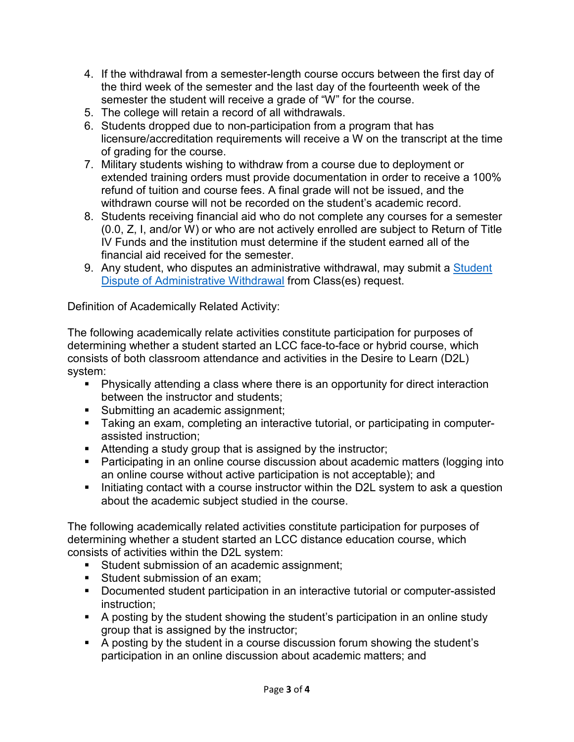- 4. If the withdrawal from a semester-length course occurs between the first day of the third week of the semester and the last day of the fourteenth week of the semester the student will receive a grade of "W" for the course.
- 5. The college will retain a record of all withdrawals.
- 6. Students dropped due to non-participation from a program that has licensure/accreditation requirements will receive a W on the transcript at the time of grading for the course.
- 7. Military students wishing to withdraw from a course due to deployment or extended training orders must provide documentation in order to receive a 100% refund of tuition and course fees. A final grade will not be issued, and the withdrawn course will not be recorded on the student's academic record.
- 8. Students receiving financial aid who do not complete any courses for a semester (0.0, Z, I, and/or W) or who are not actively enrolled are subject to Return of Title IV Funds and the institution must determine if the student earned all of the financial aid received for the semester.
- 9. Any student, who disputes an administrative withdrawal, may submit a Student [Dispute of Administrative Withdrawal](https://www.lcc.edu/appeals-complaints/) from Class(es) request.

Definition of Academically Related Activity:

The following academically relate activities constitute participation for purposes of determining whether a student started an LCC face-to-face or hybrid course, which consists of both classroom attendance and activities in the Desire to Learn (D2L) system:

- Physically attending a class where there is an opportunity for direct interaction between the instructor and students;
- **Submitting an academic assignment;**
- Taking an exam, completing an interactive tutorial, or participating in computerassisted instruction;
- **EXTED Attending a study group that is assigned by the instructor;**
- Participating in an online course discussion about academic matters (logging into an online course without active participation is not acceptable); and
- Initiating contact with a course instructor within the D2L system to ask a question about the academic subject studied in the course.

The following academically related activities constitute participation for purposes of determining whether a student started an LCC distance education course, which consists of activities within the D2L system:

- **Student submission of an academic assignment;**
- Student submission of an exam:
- **Documented student participation in an interactive tutorial or computer-assisted** instruction;
- A posting by the student showing the student's participation in an online study group that is assigned by the instructor;
- A posting by the student in a course discussion forum showing the student's participation in an online discussion about academic matters; and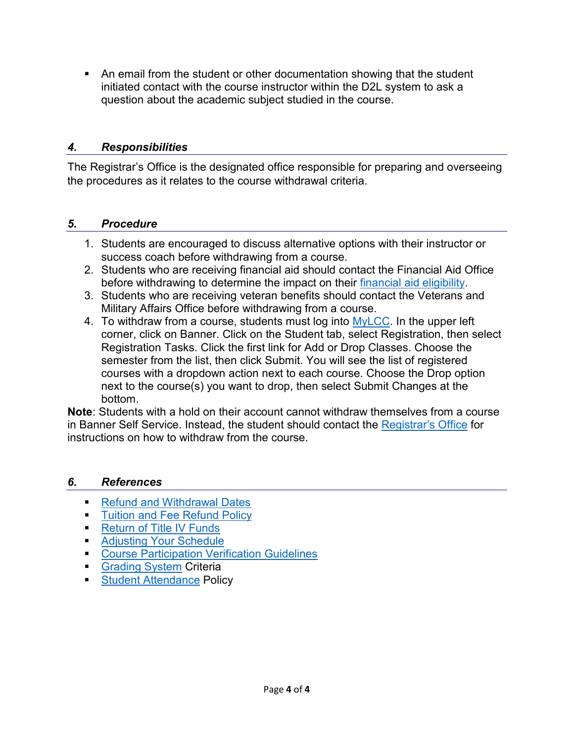An email from the student or other documentation showing that the student initiated contact with the course instructor within the D2L system to ask a question about the academic subject studied in the course.

#### *4. Responsibilities*

The Registrar's Office is the designated office responsible for preparing and overseeing the procedures as it relates to the course withdrawal criteria.

#### *5. Procedure*

- 1. Students are encouraged to discuss alternative options with their instructor or success coach before withdrawing from a course.
- 2. Students who are receiving financial aid should contact the Financial Aid Office before withdrawing to determine the impact on their [financial aid](https://www.lcc.edu/admissions-financial-aid/finaid/policies.html#R2T4) eligibility.
- 3. Students who are receiving veteran benefits should contact the Veterans and Military Affairs Office before withdrawing from a course.
- 4. To withdraw from a course, students must log into [MyLCC.](https://cas.lcc.edu/cas/login?service=https%3A%2F%2Fmy.lcc.edu%2Fc%2Fportal%2Flogin) In the upper left corner, click on Banner. Click on the Student tab, select Registration, then select Registration Tasks. Click the first link for Add or Drop Classes. Choose the semester from the list, then click Submit. You will see the list of registered courses with a dropdown action next to each course. Choose the Drop option next to the course(s) you want to drop, then select Submit Changes at the bottom.

**Note**: Students with a hold on their account cannot withdraw themselves from a course in Banner Self Service. Instead, the student should contact the [Registrar's Office](https://lcc.edu/admissions-financial-aid/registrar/registration/index.html) for instructions on how to withdraw from the course.

#### *6. References*

- [Refund and Withdrawal Dates](https://lcc.edu/academics/calendars/)
- **[Tuition and Fee Refund Policy](https://lcc.edu/academics/policies-procedures.html#Tuition%20and%20Fee%20Refund%20Policy)**
- **[Return of Title IV Funds](https://www.lcc.edu/admissions-financial-aid/finaid/policies.html)**
- **[Adjusting Your Schedule](https://www.lcc.edu/admissions-financial-aid/registrar/registration/)**
- [Course Participation Verification Guidelines](https://www.lcc.edu/admissions-financial-aid/finaid/policies.html)
- [Grading System](https://lcc.edu/academics/policies-procedures.html#grading) Criteria
- **[Student Attendance](https://lcc.edu/about/board-of-trustees/documents/policies/3-student-and-instruction/3-016_student-attendance.pdf#search=student%20attendance%20policy) Policy**